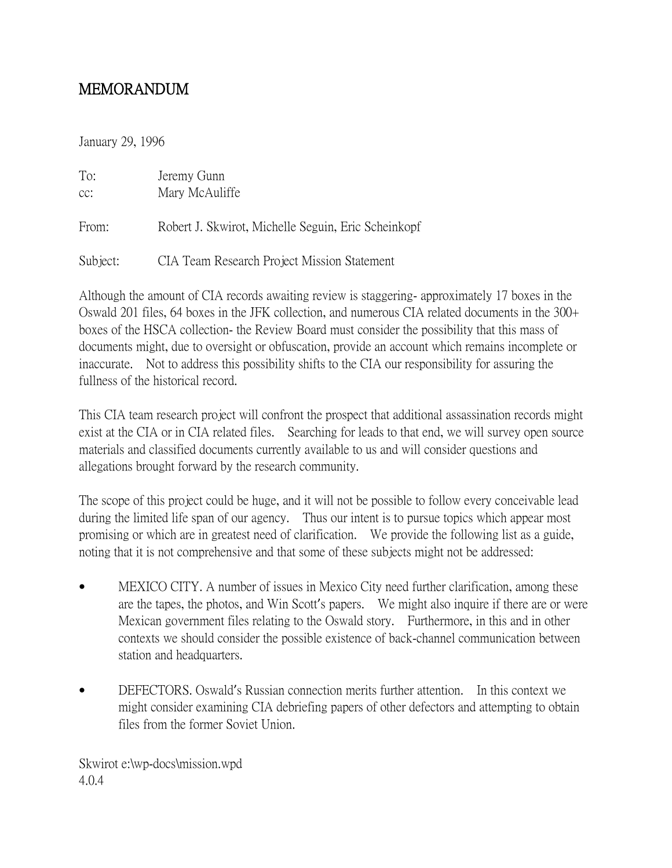## MEMORANDUM

January 29, 1996

| To:<br>CC: | Jeremy Gunn<br>Mary McAuliffe                       |
|------------|-----------------------------------------------------|
| From:      | Robert J. Skwirot, Michelle Seguin, Eric Scheinkopf |
| Subject:   | CIA Team Research Project Mission Statement         |

Although the amount of CIA records awaiting review is staggering- approximately 17 boxes in the Oswald 201 files, 64 boxes in the JFK collection, and numerous CIA related documents in the 300+ boxes of the HSCA collection- the Review Board must consider the possibility that this mass of documents might, due to oversight or obfuscation, provide an account which remains incomplete or inaccurate. Not to address this possibility shifts to the CIA our responsibility for assuring the fullness of the historical record.

This CIA team research project will confront the prospect that additional assassination records might exist at the CIA or in CIA related files. Searching for leads to that end, we will survey open source materials and classified documents currently available to us and will consider questions and allegations brought forward by the research community.

The scope of this project could be huge, and it will not be possible to follow every conceivable lead during the limited life span of our agency. Thus our intent is to pursue topics which appear most promising or which are in greatest need of clarification. We provide the following list as a guide, noting that it is not comprehensive and that some of these subjects might not be addressed:

- MEXICO CITY. A number of issues in Mexico City need further clarification, among these are the tapes, the photos, and Win Scott's papers. We might also inquire if there are or were Mexican government files relating to the Oswald story. Furthermore, in this and in other contexts we should consider the possible existence of back-channel communication between station and headquarters.
- DEFECTORS. Oswald's Russian connection merits further attention. In this context we might consider examining CIA debriefing papers of other defectors and attempting to obtain files from the former Soviet Union.

Skwirot e:\wp-docs\mission.wpd 4.0.4